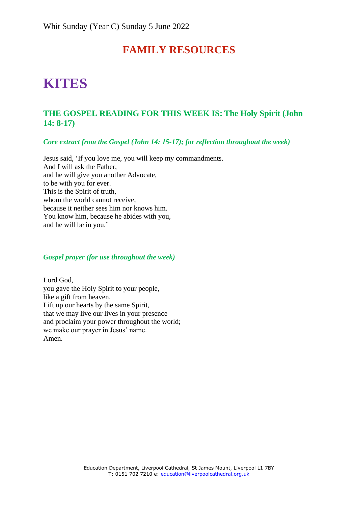## **FAMILY RESOURCES**

# **KITES**

## **THE GOSPEL READING FOR THIS WEEK IS: The Holy Spirit (John 14: 8-17)**

*Core extract from the Gospel (John 14: 15-17); for reflection throughout the week)*

Jesus said, 'If you love me, you will keep my commandments. And I will ask the Father, and he will give you another Advocate, to be with you for ever. This is the Spirit of truth, whom the world cannot receive, because it neither sees him nor knows him. You know him, because he abides with you, and he will be in you.'

#### *Gospel prayer (for use throughout the week)*

Lord God, you gave the Holy Spirit to your people, like a gift from heaven. Lift up our hearts by the same Spirit, that we may live our lives in your presence and proclaim your power throughout the world; we make our prayer in Jesus' name. Amen.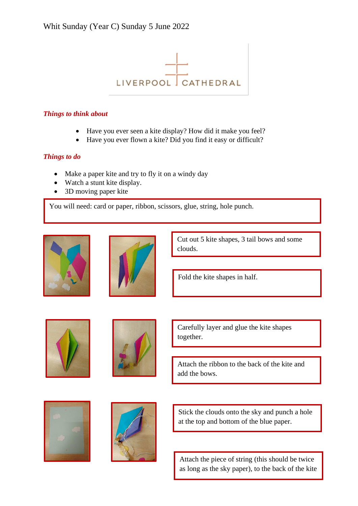

### *Things to think about*

- Have you ever seen a kite display? How did it make you feel?
- Have you ever flown a kite? Did you find it easy or difficult?

## *Things to do*

- Make a paper kite and try to fly it on a windy day
- Watch a stunt kite display.
- 3D moving paper kite

You will need: card or paper, ribbon, scissors, glue, string, hole punch.





Cut out 5 kite shapes, 3 tail bows and some clouds.

Fold the kite shapes in half.





Carefully layer and glue the kite shapes together.

Attach the ribbon to the back of the kite and add the bows.





Stick the clouds onto the sky and punch a hole at the top and bottom of the blue paper.

Attach the piece of string (this should be twice as long as the sky paper), to the back of the kite